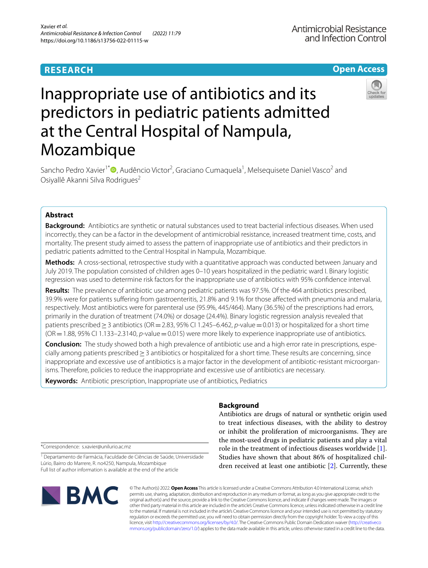# **RESEARCH**

# **Open Access**

# Inappropriate use of antibiotics and its predictors in pediatric patients admitted at the Central Hospital of Nampula, Mozambique

Sancho Pedro Xavier<sup>1\*</sup><sup>®</sup>[,](http://orcid.org/0000-0001-9493-4098) Audêncio Victor<sup>2</sup>, Graciano Cumaquela<sup>1</sup>, Melsequisete Daniel Vasco<sup>2</sup> and Osiyallê Akanni Silva Rodrigues<sup>2</sup>

# **Abstract**

**Background:** Antibiotics are synthetic or natural substances used to treat bacterial infectious diseases. When used incorrectly, they can be a factor in the development of antimicrobial resistance, increased treatment time, costs, and mortality. The present study aimed to assess the pattern of inappropriate use of antibiotics and their predictors in pediatric patients admitted to the Central Hospital in Nampula, Mozambique.

**Methods:** A cross-sectional, retrospective study with a quantitative approach was conducted between January and July 2019. The population consisted of children ages 0–10 years hospitalized in the pediatric ward I. Binary logistic regression was used to determine risk factors for the inappropriate use of antibiotics with 95% confdence interval.

**Results:** The prevalence of antibiotic use among pediatric patients was 97.5%. Of the 464 antibiotics prescribed, 39.9% were for patients sufering from gastroenteritis, 21.8% and 9.1% for those afected with pneumonia and malaria, respectively. Most antibiotics were for parenteral use (95.9%, 445/464). Many (36.5%) of the prescriptions had errors, primarily in the duration of treatment (74.0%) or dosage (24.4%). Binary logistic regression analysis revealed that patients prescribed≥3 antibiotics (OR=2.83, 95% CI 1.245–6.462, *p*-value=0.013) or hospitalized for a short time (OR=1.88, 95% CI 1.133–2.3140, *p*-value=0.015) were more likely to experience inappropriate use of antibiotics.

**Conclusion:** The study showed both a high prevalence of antibiotic use and a high error rate in prescriptions, especially among patients prescribed≥3 antibiotics or hospitalized for a short time. These results are concerning, since inappropriate and excessive use of antibiotics is a major factor in the development of antibiotic-resistant microorganisms. Therefore, policies to reduce the inappropriate and excessive use of antibiotics are necessary.

**Keywords:** Antibiotic prescription, Inappropriate use of antibiotics, Pediatrics

# **Background**

Antibiotics are drugs of natural or synthetic origin used to treat infectious diseases, with the ability to destroy or inhibit the proliferation of microorganisms. They are the most-used drugs in pediatric patients and play a vital role in the treatment of infectious diseases worldwide [\[1](#page-6-0)]. Studies have shown that about 86% of hospitalized children received at least one antibiotic [[2](#page-6-1)]. Currently, these

\*Correspondence: s.xavier@unilurio.ac.mz

<sup>1</sup> Departamento de Farmácia, Faculdade de Ciências de Saúde, Universidade Lúrio, Bairro do Marrere, R. no4250, Nampula, Mozambique Full list of author information is available at the end of the article



© The Author(s) 2022. **Open Access** This article is licensed under a Creative Commons Attribution 4.0 International License, which permits use, sharing, adaptation, distribution and reproduction in any medium or format, as long as you give appropriate credit to the original author(s) and the source, provide a link to the Creative Commons licence, and indicate if changes were made. The images or other third party material in this article are included in the article's Creative Commons licence, unless indicated otherwise in a credit line to the material. If material is not included in the article's Creative Commons licence and your intended use is not permitted by statutory regulation or exceeds the permitted use, you will need to obtain permission directly from the copyright holder. To view a copy of this licence, visit [http://creativecommons.org/licenses/by/4.0/.](http://creativecommons.org/licenses/by/4.0/) The Creative Commons Public Domain Dedication waiver ([http://creativeco](http://creativecommons.org/publicdomain/zero/1.0/) [mmons.org/publicdomain/zero/1.0/](http://creativecommons.org/publicdomain/zero/1.0/)) applies to the data made available in this article, unless otherwise stated in a credit line to the data.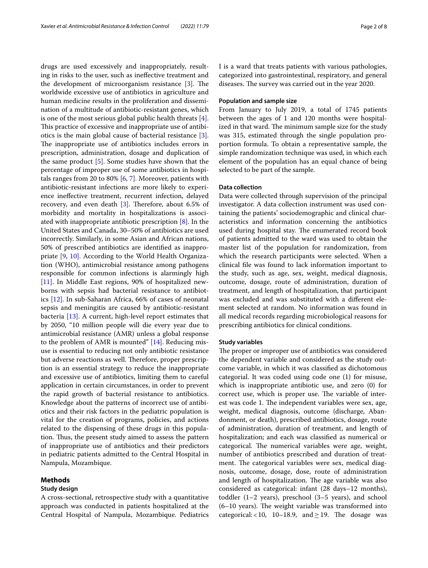drugs are used excessively and inappropriately, resulting in risks to the user, such as inefective treatment and the development of microorganism resistance  $[3]$  $[3]$ . The worldwide excessive use of antibiotics in agriculture and human medicine results in the proliferation and dissemination of a multitude of antibiotic-resistant genes, which is one of the most serious global public health threats [\[4](#page-6-3)]. This practice of excessive and inappropriate use of antibiotics is the main global cause of bacterial resistance [\[3](#page-6-2)]. The inappropriate use of antibiotics includes errors in prescription, administration, dosage and duplication of the same product [[5\]](#page-6-4). Some studies have shown that the percentage of improper use of some antibiotics in hospitals ranges from 20 to 80% [\[6](#page-6-5), [7\]](#page-6-6). Moreover, patients with antibiotic-resistant infections are more likely to experience inefective treatment, recurrent infection, delayed recovery, and even death  $[3]$  $[3]$ . Therefore, about 6.5% of morbidity and mortality in hospitalizations is associated with inappropriate antibiotic prescription [\[8](#page-6-7)]. In the United States and Canada, 30–50% of antibiotics are used incorrectly. Similarly, in some Asian and African nations, 50% of prescribed antibiotics are identifed as inappropriate [[9,](#page-6-8) [10](#page-6-9)]. According to the World Health Organization (WHO), antimicrobial resistance among pathogens responsible for common infections is alarmingly high [[11\]](#page-6-10). In Middle East regions, 90% of hospitalized newborns with sepsis had bacterial resistance to antibiotics [[12\]](#page-6-11). In sub-Saharan Africa, 66% of cases of neonatal sepsis and meningitis are caused by antibiotic-resistant bacteria [[13\]](#page-6-12). A current, high-level report estimates that by 2050, "10 million people will die every year due to antimicrobial resistance (AMR) unless a global response to the problem of AMR is mounted"  $[14]$  $[14]$ . Reducing misuse is essential to reducing not only antibiotic resistance but adverse reactions as well. Therefore, proper prescription is an essential strategy to reduce the inappropriate and excessive use of antibiotics, limiting them to careful application in certain circumstances, in order to prevent the rapid growth of bacterial resistance to antibiotics. Knowledge about the patterns of incorrect use of antibiotics and their risk factors in the pediatric population is vital for the creation of programs, policies, and actions related to the dispensing of these drugs in this population. Thus, the present study aimed to assess the pattern of inappropriate use of antibiotics and their predictors in pediatric patients admitted to the Central Hospital in Nampula, Mozambique.

# **Methods**

# **Study design**

A cross-sectional, retrospective study with a quantitative approach was conducted in patients hospitalized at the Central Hospital of Nampula, Mozambique. Pediatrics I is a ward that treats patients with various pathologies, categorized into gastrointestinal, respiratory, and general diseases. The survey was carried out in the year 2020.

# **Population and sample size**

From January to July 2019, a total of 1745 patients between the ages of 1 and 120 months were hospitalized in that ward. The minimum sample size for the study was 315, estimated through the single population proportion formula. To obtain a representative sample, the simple randomization technique was used, in which each element of the population has an equal chance of being selected to be part of the sample.

# **Data collection**

Data were collected through supervision of the principal investigator. A data collection instrument was used containing the patients' sociodemographic and clinical characteristics and information concerning the antibiotics used during hospital stay. The enumerated record book of patients admitted to the ward was used to obtain the master list of the population for randomization, from which the research participants were selected. When a clinical fle was found to lack information important to the study, such as age, sex, weight, medical diagnosis, outcome, dosage, route of administration, duration of treatment, and length of hospitalization, that participant was excluded and was substituted with a diferent element selected at random. No information was found in all medical records regarding microbiological reasons for prescribing antibiotics for clinical conditions.

# **Study variables**

The proper or improper use of antibiotics was considered the dependent variable and considered as the study outcome variable, in which it was classifed as dichotomous categorial. It was coded using code one (1) for misuse, which is inappropriate antibiotic use, and zero (0) for correct use, which is proper use. The variable of interest was code 1. The independent variables were sex, age, weight, medical diagnosis, outcome (discharge, Abandonment, or death), prescribed antibiotics, dosage, route of administration, duration of treatment, and length of hospitalization; and each was classifed as numerical or categorical. The numerical variables were age, weight, number of antibiotics prescribed and duration of treatment. The categorical variables were sex, medical diagnosis, outcome, dosage, dose, route of administration and length of hospitalization. The age variable was also considered as categorical: infant (28 days–12 months), toddler (1–2 years), preschool (3–5 years), and school  $(6-10 \text{ years})$ . The weight variable was transformed into categorical: <10, 10–18.9, and  $\geq$  19. The dosage was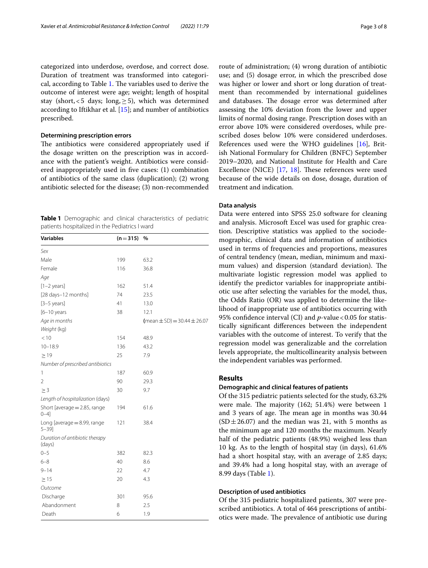categorized into underdose, overdose, and correct dose. Duration of treatment was transformed into categori-cal, according to Table [1](#page-2-0). The variables used to derive the outcome of interest were age; weight; length of hospital stay (short, <5 days; long,  $\geq$  5), which was determined according to Iftikhar et al. [[15](#page-6-14)]; and number of antibiotics prescribed.

# **Determining prescription errors**

The antibiotics were considered appropriately used if the dosage written on the prescription was in accordance with the patient's weight. Antibiotics were considered inappropriately used in fve cases: (1) combination of antibiotics of the same class (duplication); (2) wrong antibiotic selected for the disease; (3) non-recommended

<span id="page-2-0"></span>**Table 1** Demographic and clinical characteristics of pediatric patients hospitalized in the Pediatrics I ward

| <b>Variables</b>                            | $(n=315)$ | $\%$                                            |
|---------------------------------------------|-----------|-------------------------------------------------|
| Sex                                         |           |                                                 |
| Male                                        | 199       | 63.2                                            |
| Female                                      | 116       | 36.8                                            |
| Age                                         |           |                                                 |
| $[1-2 \text{ years}]$                       | 162       | 51.4                                            |
| [28 days-12 months]                         | 74        | 23.5                                            |
| $[3-5 \text{ years}]$                       | 41        | 13.0                                            |
| $[6-10$ years                               | 38        | 12.1                                            |
| Age in months                               |           | $(\text{mean} \pm \text{SD}) = 30.44 \pm 26.07$ |
| Weight (kg)                                 |           |                                                 |
| < 10                                        | 154       | 48.9                                            |
| $10 - 18.9$                                 | 136       | 43.2                                            |
| $\geq$ 19                                   | 25        | 7.9                                             |
| Number of prescribed antibiotics            |           |                                                 |
| 1                                           | 187       | 60.9                                            |
| 2                                           | 90        | 29.3                                            |
| $\geq$ 3                                    | 30        | 9.7                                             |
| Length of hospitalization (days)            |           |                                                 |
| Short [average $=$ 2.85, range<br>$0 - 4$ ] | 194       | 61.6                                            |
| Long [average = 8.99, range<br>$5 - 39$ ]   | 121       | 38.4                                            |
| Duration of antibiotic therapy<br>(days)    |           |                                                 |
| $0 - 5$                                     | 382       | 82.3                                            |
| $6 - 8$                                     | 40        | 8.6                                             |
| $9 - 14$                                    | 22        | 4.7                                             |
| $\geq$ 15                                   | 20        | 4.3                                             |
| Outcome                                     |           |                                                 |
| Discharge                                   | 301       | 95.6                                            |
| Abandonment                                 | 8         | 2.5                                             |
| Death                                       | 6         | 1.9                                             |

route of administration; (4) wrong duration of antibiotic use; and (5) dosage error, in which the prescribed dose was higher or lower and short or long duration of treatment than recommended by international guidelines and databases. The dosage error was determined after assessing the 10% deviation from the lower and upper limits of normal dosing range. Prescription doses with an error above 10% were considered overdoses, while prescribed doses below 10% were considered underdoses. References used were the WHO guidelines [[16](#page-6-15)], British National Formulary for Children (BNFC) September 2019–2020, and National Institute for Health and Care Excellence (NICE) [\[17,](#page-6-16) [18\]](#page-6-17). These references were used because of the wide details on dose, dosage, duration of treatment and indication.

# **Data analysis**

Data were entered into SPSS 25.0 software for cleaning and analysis. Microsoft Excel was used for graphic creation. Descriptive statistics was applied to the sociodemographic, clinical data and information of antibiotics used in terms of frequencies and proportions, measures of central tendency (mean, median, minimum and maximum values) and dispersion (standard deviation). The multivariate logistic regression model was applied to identify the predictor variables for inappropriate antibiotic use after selecting the variables for the model, thus, the Odds Ratio (OR) was applied to determine the likelihood of inappropriate use of antibiotics occurring with 95% confidence interval (CI) and *p*-value < 0.05 for statistically signifcant diferences between the independent variables with the outcome of interest. To verify that the regression model was generalizable and the correlation levels appropriate, the multicollinearity analysis between the independent variables was performed.

# **Results**

# **Demographic and clinical features of patients**

Of the 315 pediatric patients selected for the study, 63.2% were male. The majority  $(162; 51.4%)$  were between 1 and 3 years of age. The mean age in months was 30.44  $(SD \pm 26.07)$  and the median was 21, with 5 months as the minimum age and 120 months the maximum. Nearly half of the pediatric patients (48.9%) weighed less than 10 kg. As to the length of hospital stay (in days), 61.6% had a short hospital stay, with an average of 2.85 days; and 39.4% had a long hospital stay, with an average of 8.99 days (Table [1](#page-2-0)).

# **Description of used antibiotics**

Of the 315 pediatric hospitalized patients, 307 were prescribed antibiotics. A total of 464 prescriptions of antibiotics were made. The prevalence of antibiotic use during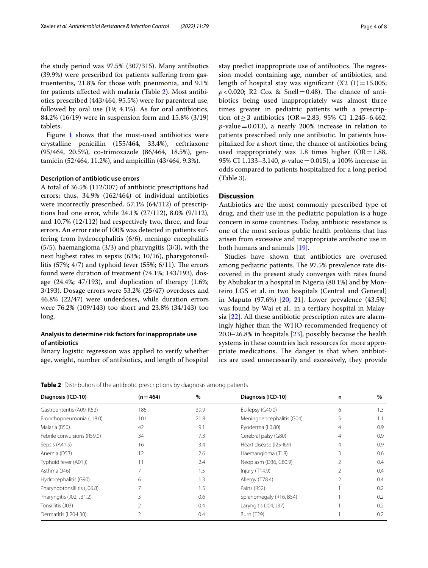the study period was 97.5% (307/315). Many antibiotics (39.9%) were prescribed for patients sufering from gastroenteritis, 21.8% for those with pneumonia, and 9.1% for patients afected with malaria (Table [2\)](#page-3-0). Most antibiotics prescribed (443/464; 95.5%) were for parenteral use, followed by oral use (19; 4.1%). As for oral antibiotics, 84.2% (16/19) were in suspension form and 15.8% (3/19) tablets.

Figure [1](#page-4-0) shows that the most-used antibiotics were crystalline penicillin (155/464, 33.4%), ceftriaxone (95/464, 20.5%), co-trimoxazole (86/464, 18.5%), gentamicin (52/464, 11.2%), and ampicillin (43/464, 9.3%).

# **Description of antibiotic use errors**

A total of 36.5% (112/307) of antibiotic prescriptions had errors; thus, 34.9% (162/464) of individual antibiotics were incorrectly prescribed. 57.1% (64/112) of prescriptions had one error, while 24.1% (27/112), 8.0% (9/112), and 10.7% (12/112) had respectively two, three, and four errors. An error rate of 100% was detected in patients suffering from hydrocephalitis (6/6), meningo encephalitis (5/5), haemangioma (3/3) and pharyngitis (3/3), with the next highest rates in sepsis (63%; 10/16), pharygotonsillitis  $(57\%; 4/7)$  and typhoid fever  $(55\%; 6/11)$ . The errors found were duration of treatment (74.1%; 143/193), dosage (24.4%; 47/193), and duplication of therapy (1.6%; 3/193). Dosage errors were 53.2% (25/47) overdoses and 46.8% (22/47) were underdoses, while duration errors were 76.2% (109/143) too short and 23.8% (34/143) too long.

# **Analysis to determine risk factors for inappropriate use of antibiotics**

Binary logistic regression was applied to verify whether age, weight, number of antibiotics, and length of hospital stay predict inappropriate use of antibiotics. The regression model containing age, number of antibiotics, and length of hospital stay was significant  $(X2 (1)=15.005;$  $p$ <0.020; R2 Cox & Snell=0.48). The chance of antibiotics being used inappropriately was almost three times greater in pediatric patients with a prescription of ≥ 3 antibiotics (OR = 2.83, 95% CI 1.245–6.462,  $p$ -value = 0.013), a nearly 200% increase in relation to patients prescribed only one antibiotic. In patients hospitalized for a short time, the chance of antibiotics being used inappropriately was 1.8 times higher  $(OR=1.88,$ 95% CI 1.133–3.140, *p*-value=0.015), a 100% increase in odds compared to patients hospitalized for a long period (Table [3\)](#page-4-1).

# **Discussion**

Antibiotics are the most commonly prescribed type of drug, and their use in the pediatric population is a huge concern in some countries. Today, antibiotic resistance is one of the most serious public health problems that has arisen from excessive and inappropriate antibiotic use in both humans and animals [[19](#page-6-18)].

Studies have shown that antibiotics are overused among pediatric patients. The 97.5% prevalence rate discovered in the present study converges with rates found by Abubakar in a hospital in Nigeria (80.1%) and by Monteiro LGS et al. in two hospitals (Central and General) in Maputo (97.6%) [[20](#page-6-19), [21](#page-6-20)]. Lower prevalence (43.5%) was found by Wai et al., in a tertiary hospital in Malaysia [[22\]](#page-6-21). All these antibiotic prescription rates are alarmingly higher than the WHO-recommended frequency of 20.0–26.8% in hospitals [[23\]](#page-6-22), possibly because the health systems in these countries lack resources for more appropriate medications. The danger is that when antibiotics are used unnecessarily and excessively, they provide

<span id="page-3-0"></span>**Table 2** Distribution of the antibiotic prescriptions by diagnosis among patients

| Diagnosis (ICD-10)          | $(n = 464)$ | $\%$ | Diagnosis (ICD-10)        | n              | $\%$ |
|-----------------------------|-------------|------|---------------------------|----------------|------|
| Gastroenteritis (A09, K52)  | 185         | 39.9 | Epilepsy (G40.0)          | 6              | 1.3  |
| Bronchopneumonia (J18.0)    | 101         | 21.8 | Meningoencephalitis (G04) | 5              | 1.1  |
| Malaria (B50)               | 42          | 9.1  | Pyoderma (L0.80)          | 4              | 0.9  |
| Febrile convulsions (R59.0) | 34          | 7.3  | Cerebral palsy (G80)      | $\overline{4}$ | 0.9  |
| Sepsis (A41.9)              | 16          | 3.4  | Heart disease (125-169)   | $\overline{4}$ | 0.9  |
| Anemia (D53)                | 12          | 2.6  | Haemangioma (T18)         | 3              | 0.6  |
| Typhoid fever (A01.))       | 11          | 2.4  | Neoplasm (D36, C80.9)     |                | 0.4  |
| Asthma (J46)                |             | 1.5  | Injury (T14.9)            |                | 0.4  |
| Hydrocephalitis (G90)       | 6           | 1.3  | Allergy (T78.4)           |                | 0.4  |
| Pharyngotonsillitis (J06.8) |             | 1.5  | Pains (R52)               |                | 0.2  |
| Pharyngitis (J02, J31.2)    | ੨           | 0.6  | Splenomegaly (R16, B54)   |                | 0.2  |
| Tonsillitis (J03)           |             | 0.4  | Laryngitis (J04, J37)     |                | 0.2  |
| Dermatitis (L20-L30)        |             | 0.4  | <b>Burn (T29)</b>         |                | 0.2  |
|                             |             |      |                           |                |      |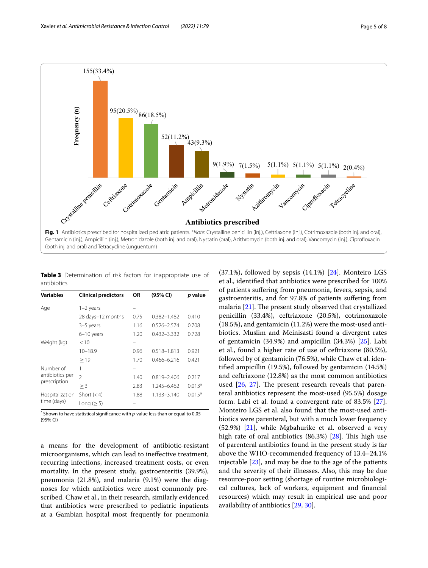

<span id="page-4-0"></span>Gentamicin (inj.), Ampicillin (inj.), Metronidazole (both inj. and oral), Nystatin (oral), Azithromycin (both inj. and oral), Vancomycin (inj.), Ciprofoxacin (both inj. and oral) and Tetracycline (unguentum)

<span id="page-4-1"></span>**Table 3** Determination of risk factors for inappropriate use of antibiotics

| Variables                                    | <b>Clinical predictors</b> | OR   | (95% CI)        | p value  |
|----------------------------------------------|----------------------------|------|-----------------|----------|
| Age                                          | $1-2$ years                |      |                 |          |
|                                              | 28 days-12 months          | 0.75 | 0.382-1.482     | 0.410    |
|                                              | 3-5 years                  | 1.16 | $0.526 - 2.574$ | 0.708    |
|                                              | 6-10 years                 | 1.20 | 0.432-3.332     | 0.728    |
| Weight (kg)                                  | < 10                       |      |                 |          |
|                                              | $10 - 18.9$                | 0.96 | $0.518 - 1.813$ | 0.921    |
|                                              | >19                        | 1.70 | 0.466-6.216     | 0.421    |
| Number of<br>antibiotics per<br>prescription | 1                          |      |                 |          |
|                                              | $\overline{\phantom{a}}$   | 1.40 | 0.819-2.406     | 0.217    |
|                                              | $>$ 3                      | 2.83 | 1.245-6.462     | $0.013*$ |
| Hospitalization<br>time (days)               | Short $(< 4)$              | 1.88 | 1.133-3.140     | $0.015*$ |
|                                              | Long ( $\geq$ 5)           |      |                 |          |

\* Shown to have statistical signifcance with *p*-value less than or equal to 0.05 (95% CI)

a means for the development of antibiotic-resistant microorganisms, which can lead to inefective treatment, recurring infections, increased treatment costs, or even mortality. In the present study, gastroenteritis (39.9%), pneumonia (21.8%), and malaria (9.1%) were the diagnoses for which antibiotics were most commonly prescribed. Chaw et al., in their research, similarly evidenced that antibiotics were prescribed to pediatric inpatients at a Gambian hospital most frequently for pneumonia

 $(37.1\%)$ , followed by sepsis  $(14.1\%)$  [[24\]](#page-6-23). Monteiro LGS et al., identifed that antibiotics were prescribed for 100% of patients sufering from pneumonia, fevers, sepsis, and gastroenteritis, and for 97.8% of patients sufering from malaria  $[21]$ . The present study observed that crystallized penicillin (33.4%), ceftriaxone (20.5%), cotrimoxazole (18.5%), and gentamicin (11.2%) were the most-used antibiotics. Muslim and Meinisasti found a divergent rates of gentamicin (34.9%) and ampicillin (34.3%) [[25](#page-6-24)]. Labi et al., found a higher rate of use of ceftriaxone (80.5%), followed by of gentamicin (76.5%), while Chaw et al. identifed ampicillin (19.5%), followed by gentamicin (14.5%) and ceftriaxone (12.8%) as the most common antibiotics used  $[26, 27]$  $[26, 27]$  $[26, 27]$  $[26, 27]$ . The present research reveals that parenteral antibiotics represent the most-used (95.5%) dosage form. Labi et al. found a convergent rate of  $83.5\%$  [\[27](#page-6-26)]. Monteiro LGS et al. also found that the most-used antibiotics were parenteral, but with a much lower frequency (52.9%) [[21\]](#page-6-20), while Mgbahurike et al. observed a very high rate of oral antibiotics  $(86.3%)$   $[28]$  $[28]$ . This high use of parenteral antibiotics found in the present study is far above the WHO-recommended frequency of 13.4–24.1% injectable [\[23\]](#page-6-22), and may be due to the age of the patients and the severity of their illnesses. Also, this may be due resource-poor setting (shortage of routine microbiological cultures, lack of workers, equipment and fnancial resources) which may result in empirical use and poor availability of antibiotics [[29](#page-7-0), [30\]](#page-7-1).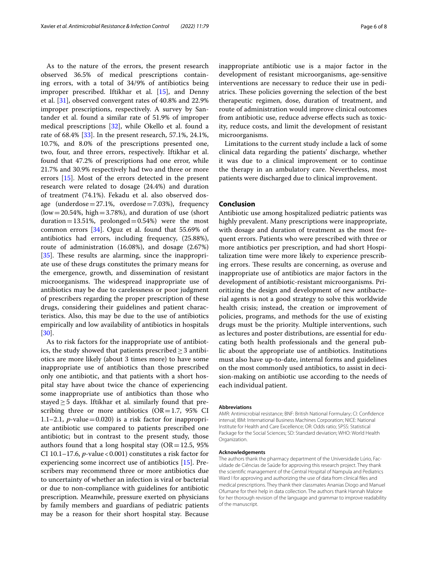As to the nature of the errors, the present research observed 36.5% of medical prescriptions containing errors, with a total of 34/9% of antibiotics being improper prescribed. Iftikhar et al. [\[15](#page-6-14)], and Denny et al. [[31](#page-7-2)], observed convergent rates of 40.8% and 22.9% improper prescriptions, respectively. A survey by Santander et al. found a similar rate of 51.9% of improper medical prescriptions [[32](#page-7-3)], while Okello et al. found a rate of 68.4% [\[33](#page-7-4)]. In the present research, 57.1%, 24.1%, 10.7%, and 8.0% of the prescriptions presented one, two, four, and three errors, respectively. Iftikhar et al. found that 47.2% of prescriptions had one error, while 21.7% and 30.9% respectively had two and three or more errors [[15](#page-6-14)]. Most of the errors detected in the present research were related to dosage (24.4%) and duration of treatment (74.1%). Fekadu et al. also observed dosage (underdose $=27.1\%$ , overdose $=7.03\%$ ), frequency  $(low = 20.54\%, high = 3.78\%)$ , and duration of use (short duration=13.51%, prolonged=0.54%) were the most common errors [\[34](#page-7-5)]. Oguz et al. found that 55.69% of antibiotics had errors, including frequency, (25.88%), route of administration (16.08%), and dosage (2.67%) [[35\]](#page-7-6). These results are alarming, since the inappropriate use of these drugs constitutes the primary means for the emergence, growth, and dissemination of resistant microorganisms. The widespread inappropriate use of antibiotics may be due to carelessness or poor judgment of prescribers regarding the proper prescription of these drugs, considering their guidelines and patient characteristics. Also, this may be due to the use of antibiotics empirically and low availability of antibiotics in hospitals [[30\]](#page-7-1).

As to risk factors for the inappropriate use of antibiotics, the study showed that patients prescribed  $\geq$  3 antibiotics are more likely (about 3 times more) to have some inappropriate use of antibiotics than those prescribed only one antibiotic, and that patients with a short hospital stay have about twice the chance of experiencing some inappropriate use of antibiotics than those who stayed $\geq$ 5 days. Iftikhar et al. similarly found that prescribing three or more antibiotics  $(OR=1.7, 95\% \text{ CI})$ 1.1–2.1, *p*-value = 0.020) is a risk factor for inappropriate antibiotic use compared to patients prescribed one antibiotic; but in contrast to the present study, those authors found that a long hospital stay ( $OR = 12.5$ , 95% CI 10.1–17.6,  $p$ -value < 0.001) constitutes a risk factor for experiencing some incorrect use of antibiotics [[15\]](#page-6-14). Prescribers may recommend three or more antibiotics due to uncertainty of whether an infection is viral or bacterial or due to non-compliance with guidelines for antibiotic prescription. Meanwhile, pressure exerted on physicians by family members and guardians of pediatric patients may be a reason for their short hospital stay. Because inappropriate antibiotic use is a major factor in the development of resistant microorganisms, age-sensitive interventions are necessary to reduce their use in pediatrics. These policies governing the selection of the best therapeutic regimen, dose, duration of treatment, and route of administration would improve clinical outcomes from antibiotic use, reduce adverse efects such as toxicity, reduce costs, and limit the development of resistant microorganisms.

Limitations to the current study include a lack of some clinical data regarding the patients' discharge, whether it was due to a clinical improvement or to continue the therapy in an ambulatory care. Nevertheless, most patients were discharged due to clinical improvement.

# **Conclusion**

Antibiotic use among hospitalized pediatric patients was highly prevalent. Many prescriptions were inappropriate, with dosage and duration of treatment as the most frequent errors. Patients who were prescribed with three or more antibiotics per prescription, and had short Hospitalization time were more likely to experience prescribing errors. These results are concerning, as overuse and inappropriate use of antibiotics are major factors in the development of antibiotic-resistant microorganisms. Prioritizing the design and development of new antibacterial agents is not a good strategy to solve this worldwide health crisis; instead, the creation or improvement of policies, programs, and methods for the use of existing drugs must be the priority. Multiple interventions, such as lectures and poster distributions, are essential for educating both health professionals and the general public about the appropriate use of antibiotics. Institutions must also have up-to-date, internal forms and guidelines on the most commonly used antibiotics, to assist in decision-making on antibiotic use according to the needs of each individual patient.

#### **Abbreviations**

AMR: Antimicrobial resistance; BNF: British National Formulary; CI: Confdence interval; IBM: International Business Machines Corporation; NICE: National Institute for Health and Care Excellence; OR: Odds ratio; SPSS: Statistical Package for the Social Sciences; SD: Standard deviation; WHO: World Health Organization.

## **Acknowledgements**

The authors thank the pharmacy department of the Universidade Lúrio, Faculdade de Ciências de Saúde for approving this research project. They thank the scientifc management of the Central Hospital of Nampula and Pediatrics Ward I for approving and authorizing the use of data from clinical fles and medical prescriptions. They thank their classmates Ananias Diogo and Manuel Ofumane for their help in data collection. The authors thank Hannah Malone for her thorough revision of the language and grammar to improve readability of the manuscript.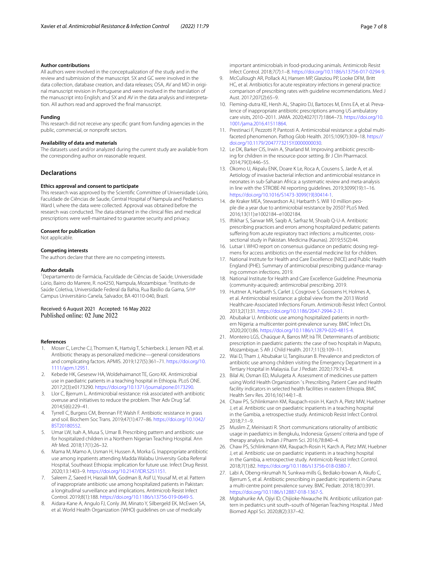# **Author contributions**

All authors were involved in the conceptualization of the study and in the review and submission of the manuscript. SX and GC were involved in the data collection, database creation, and data releases; OSA, AV and MD in original manuscript revision in Portuguese and were involved in the translation of the manuscript into English; and SX and AV in the data analysis and interpretation. All authors read and approved the fnal manuscript.

# **Funding**

This research did not receive any specifc grant from funding agencies in the public, commercial, or nonproft sectors.

#### **Availability of data and materials**

The datasets used and/or analyzed during the current study are available from the corresponding author on reasonable request.

# **Declarations**

#### **Ethics approval and consent to participate**

This research was approved by the Scientifc Committee of Universidade Lúrio, Faculdade de Ciências de Saude, Central Hospital of Nampula and Pediatrics Ward I, where the data were collected. Approval was obtained before the research was conducted. The data obtained in the clinical fles and medical prescriptions were well-maintained to guarantee security and privacy.

# **Consent for publication**

Not applicable.

## **Competing interests**

The authors declare that there are no competing interests.

# **Author details**

<sup>1</sup> Departamento de Farmácia, Faculdade de Ciências de Saúde, Universidade Lúrio, Bairro do Marrere, R. no4250, Nampula, Mozambique. <sup>2</sup>Instituto de Saúde Coletiva, Universidade Federal da Bahia, Rua Basílio da Gama, S/nº Campus Universitário Canela, Salvador, BA 40110-040, Brazil.

Received: 6 August 2021 Accepted: 16 May 2022 Published online: 02 June 2022

# **References**

- <span id="page-6-0"></span>Moser C, Lerche CJ, Thomsen K, Hartvig T, Schierbeck J, Jensen PØ, et al. Antibiotic therapy as personalized medicine—general considerations and complicating factors. APMIS. 2019;127(5):361–71. [https://doi.org/10.](https://doi.org/10.1111/apm.12951) [1111/apm.12951](https://doi.org/10.1111/apm.12951).
- <span id="page-6-1"></span>2. Kebede HK, Gesesew HA, Woldehaimanot TE, Goro KK. Antimicrobial use in paediatric patients in a teaching hospital in Ethiopia. PLoS ONE. 2017;2(3):e0173290.<https://doi.org/10.1371/journal.pone.0173290>.
- <span id="page-6-2"></span>3. Llor C, Bjerrum L. Antimicrobial resistance: risk associated with antibiotic overuse and initiatives to reduce the problem. Ther Adv Drug Saf. 2014;5(6):229–41.
- <span id="page-6-3"></span>4. Tyrrell C, Burgess CM, Brennan FP, Walsh F. Antibiotic resistance in grass and soil. Biochem Soc Trans. 2019;47(1):477–86. [https://doi.org/10.1042/](https://doi.org/10.1042/BST20180552) [BST20180552.](https://doi.org/10.1042/BST20180552)
- <span id="page-6-4"></span>5. Umar LW, Isah A, Musa S, Umar B. Prescribing pattern and antibiotic use for hospitalized children in a Northern Nigerian Teaching Hospital. Ann Afr Med. 2018;17(1):26–32.
- <span id="page-6-5"></span>6. Mama M, Mamo A, Usman H, Hussen A, Morka G. Inappropriate antibiotic use among inpatients attending Madda Walabu University Goba Referral Hospital, Southeast Ethiopia: implication for future use. Infect Drug Resist. 2020;13:1403–9.<https://doi.org/10.2147/IDR.S251151>.
- <span id="page-6-6"></span>7. Saleem Z, Saeed H, Hassali MA, Godman B, Asif U, Yousaf M, et al. Pattern of inappropriate antibiotic use among hospitalized patients in Pakistan: a longitudinal surveillance and implications. Antimicrob Resist Infect Control. 2019;8(1):188.<https://doi.org/10.1186/s13756-019-0649-5>.
- <span id="page-6-7"></span>Aidara-Kane A, Angulo FJ, Conly JM, Minato Y, Silbergeld EK, McEwen SA, et al. World Health Organization (WHO) guidelines on use of medically

important antimicrobials in food-producing animals. Antimicrob Resist Infect Control. 2018;7(7):1–8. [https://doi.org/10.1186/s13756-017-0294-9.](https://doi.org/10.1186/s13756-017-0294-9)

- <span id="page-6-8"></span>9. McCullough AR, Pollack AJ, Hansen MP, Glasziou PP, Looke DFM, Britt HC, et al. Antibiotics for acute respiratory infections in general practice: comparison of prescribing rates with guideline recommendations. Med J Aust. 2017;207(2):65–9.
- <span id="page-6-9"></span>10. Fleming-dutra KE, Hersh AL, Shapiro DJ, Bartoces M, Enns EA, et al. Prevalence of inappropriate antibiotic prescriptions among US ambulatory care visits, 2010–2011. JAMA. 2020;4027(17):1864–73. [https://doi.org/10.](https://doi.org/10.1001/jama.2016.41511864) [1001/jama.2016.41511864](https://doi.org/10.1001/jama.2016.41511864).
- <span id="page-6-10"></span>11. Prestinaci F, Pezzotti P, Pantosti A. Antimicrobial resistance: a global multifaceted phenomenon. Pathog Glob Health. 2015;109(7):309–18. [https://](https://doi.org/10.1179/2047773215Y.0000000030) [doi.org/10.1179/2047773215Y.0000000030](https://doi.org/10.1179/2047773215Y.0000000030).
- <span id="page-6-11"></span>12. Le DK, Barker CIS, Irwin A, Sharland M. Improving antibiotic prescribing for children in the resource-poor setting. Br J Clin Pharmacol. 2014;79(3):446–55.
- <span id="page-6-12"></span>13. Okomo U, Akpalu ENK, Doare K Le, Roca A, Cousens S, Jarde A, et al. Aetiology of invasive bacterial infection and antimicrobial resistance in neonates in sub-Saharan Africa: a systematic review and meta-analysis in line with the STROBE-NI reporting guidelines. 2019;3099(19):1–16. [https://doi.org/10.1016/S1473-3099\(19\)30414-1](https://doi.org/10.1016/S1473-3099(19)30414-1).
- <span id="page-6-13"></span>14. de Kraker MEA, Stewardson AJ, Harbarth S. Will 10 million people die a year due to antimicrobial resistance by 2050? PLoS Med. 2016;13(11):e1002184–e1002184.
- <span id="page-6-14"></span>15. Iftikhar S, Sarwar MR, Saqib A, Sarfraz M, Shoaib Q-U-A. Antibiotic prescribing practices and errors among hospitalized pediatric patients suffering from acute respiratory tract infections: a multicenter, crosssectional study in Pakistan. Medicina (Kaunas). 2019;55(2):44.
- <span id="page-6-15"></span>16. Lutsar I. WHO report on consensus guidance on pediatric dosing regimens for access antibiotics on the essential medicine list for children.
- <span id="page-6-16"></span>17. National Institute for Health and Care Excellence (NICE) and Public Health England (PHE). Summary of antimicrobial prescribing guidance-managing common infections. 2019.
- <span id="page-6-17"></span>18. National Institute for Health and Care Excellence Guideline. Pneumonia (community-acquired): antimicrobial prescribing. 2019.
- <span id="page-6-18"></span>19. Huttner A, Harbarth S, Carlet J, Cosgrove S, Goossens H, Holmes A, et al. Antimicrobial resistance: a global view from the 2013 World Healthcare-Associated Infections Forum. Antimicrob Resist Infect Control. 2013;2(1):31. <https://doi.org/10.1186/2047-2994-2-31>.
- <span id="page-6-19"></span>20. Abubakar U. Antibiotic use among hospitalized patients in northern Nigeria: a multicenter point-prevalence survey. BMC Infect Dis. 2020;20(1):86.<https://doi.org/10.1186/s12879-020-4815-4>.
- <span id="page-6-20"></span>21. Monteiro LGS, Chaúque A, Barros MP, Irá TR. Determinants of antibiotic prescription in paediatric patients: the case of two hospitals in Maputo, Mozambique. S Afr J Child Health. 2017;11(3):109–11.
- <span id="page-6-21"></span>22. Wai D, Tham J, Abubakar U, Tangiisuran B. Prevalence and predictors of antibiotic use among children visiting the Emergency Department in a Tertiary Hospital in Malaysia. Eur J Pediatr. 2020;179:743–8.
- <span id="page-6-22"></span>23. Bilal AI, Osman ED, Mulugeta A. Assessment of medicines use pattern using World Health Organization ' s Prescribing, Patient Care and Health facility indicators in selected health facilities in eastern Ethiopia. BMC Health Serv Res. 2016;16(144):1–8.
- <span id="page-6-23"></span>24. Chaw PS, Schlinkmann KM, Raupach-rosin H, Karch A, Pletz MW, Huebner J, et al. Antibiotic use on paediatric inpatients in a teaching hospital in the Gambia, a retrospective study. Antimicrob Resist Infect Control. 2018;7:1–9.
- <span id="page-6-24"></span>25 Muslim Z, Meinisasti R. Short communications rationality of antibiotic usage in paediatrics in Bengkulu, Indonesia: Gyssens' criteria and type of therapy analysis. Indian J Pharm Sci. 2016;78:840–4.
- <span id="page-6-25"></span>26. Chaw PS, Schlinkmann KM, Raupach-Rosin H, Karch A, Pletz MW, Huebner J, et al. Antibiotic use on paediatric inpatients in a teaching hospital in the Gambia, a retrospective study. Antimicrob Resist Infect Control. 2018;7(1):82. <https://doi.org/10.1186/s13756-018-0380-7>.
- <span id="page-6-26"></span>27. Labi A, Obeng-nkrumah N, Sunkwa-mills G, Bediako-bowan A, Akufo C, Bjerrum S, et al. Antibiotic prescribing in paediatric inpatients in Ghana: a multi-centre point prevalence survey. BMC Pediatr. 2018;18(1):391. [https://doi.org/10.1186/s12887-018-1367-5.](https://doi.org/10.1186/s12887-018-1367-5)
- <span id="page-6-27"></span>28. Mgbahurike AA, Ojiyi ID, Chijioke-Nwauche IN. Antibiotic utilization pattern in pediatrics unit south–south of Nigerian Teaching Hospital. J Med Biomed Appl Sci. 2020;8(2):337–42.